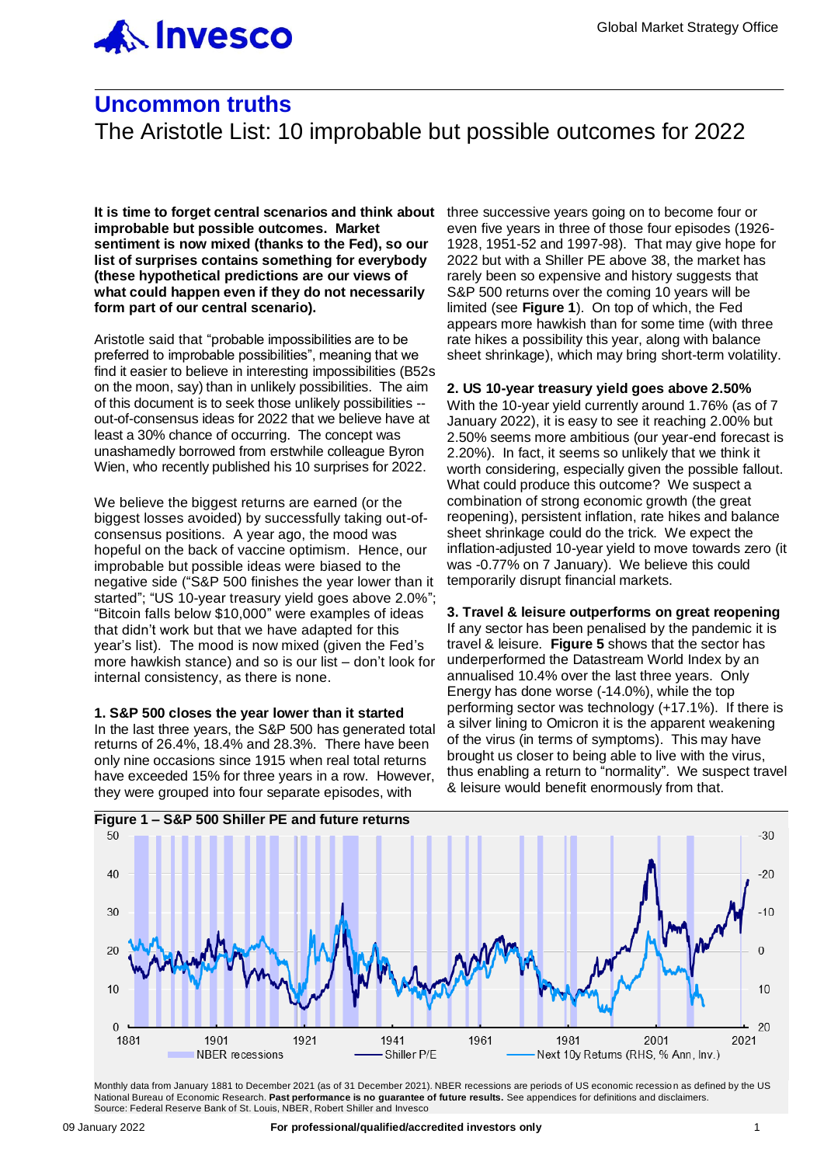

# **Uncommon truths**

The Aristotle List: 10 improbable but possible outcomes for 2022

**It is time to forget central scenarios and think about** three successive years going on to become four or **improbable but possible outcomes. Market sentiment is now mixed (thanks to the Fed), so our list of surprises contains something for everybody (these hypothetical predictions are our views of what could happen even if they do not necessarily form part of our central scenario).**

Aristotle said that "probable impossibilities are to be preferred to improbable possibilities", meaning that we find it easier to believe in interesting impossibilities (B52s on the moon, say) than in unlikely possibilities. The aim of this document is to seek those unlikely possibilities - out-of-consensus ideas for 2022 that we believe have at least a 30% chance of occurring. The concept was unashamedly borrowed from erstwhile colleague Byron Wien, who recently published his 10 surprises for 2022.

We believe the biggest returns are earned (or the biggest losses avoided) by successfully taking out-ofconsensus positions. A year ago, the mood was hopeful on the back of vaccine optimism. Hence, our improbable but possible ideas were biased to the negative side ("S&P 500 finishes the year lower than it started"; "US 10-year treasury yield goes above 2.0%"; "Bitcoin falls below \$10,000" were examples of ideas that didn't work but that we have adapted for this year's list). The mood is now mixed (given the Fed's more hawkish stance) and so is our list – don't look for internal consistency, as there is none.

**1. S&P 500 closes the year lower than it started** In the last three years, the S&P 500 has generated total returns of 26.4%, 18.4% and 28.3%. There have been only nine occasions since 1915 when real total returns have exceeded 15% for three years in a row. However,

even five years in three of those four episodes (1926- 1928, 1951-52 and 1997-98). That may give hope for 2022 but with a Shiller PE above 38, the market has rarely been so expensive and history suggests that S&P 500 returns over the coming 10 years will be limited (see **Figure 1**). On top of which, the Fed appears more hawkish than for some time (with three rate hikes a possibility this year, along with balance sheet shrinkage), which may bring short-term volatility.

**2. US 10-year treasury yield goes above 2.50%** With the 10-year yield currently around 1.76% (as of 7 January 2022), it is easy to see it reaching 2.00% but 2.50% seems more ambitious (our year-end forecast is 2.20%). In fact, it seems so unlikely that we think it worth considering, especially given the possible fallout. What could produce this outcome? We suspect a combination of strong economic growth (the great reopening), persistent inflation, rate hikes and balance sheet shrinkage could do the trick. We expect the inflation-adjusted 10-year yield to move towards zero (it was -0.77% on 7 January). We believe this could temporarily disrupt financial markets.

**3. Travel & leisure outperforms on great reopening** If any sector has been penalised by the pandemic it is travel & leisure. **Figure 5** shows that the sector has underperformed the Datastream World Index by an annualised 10.4% over the last three years. Only Energy has done worse (-14.0%), while the top performing sector was technology (+17.1%). If there is a silver lining to Omicron it is the apparent weakening of the virus (in terms of symptoms). This may have brought us closer to being able to live with the virus, thus enabling a return to "normality". We suspect travel & leisure would benefit enormously from that.



Monthly data from January 1881 to December 2021 (as of 31 December 2021). NBER recessions are periods of US economic recession as defined by the US National Bureau of Economic Research. **Past performance is no guarantee of future results.** See appendices for definitions and disclaimers. Source: Federal Reserve Bank of St. Louis, NBER, Robert Shiller and Invesco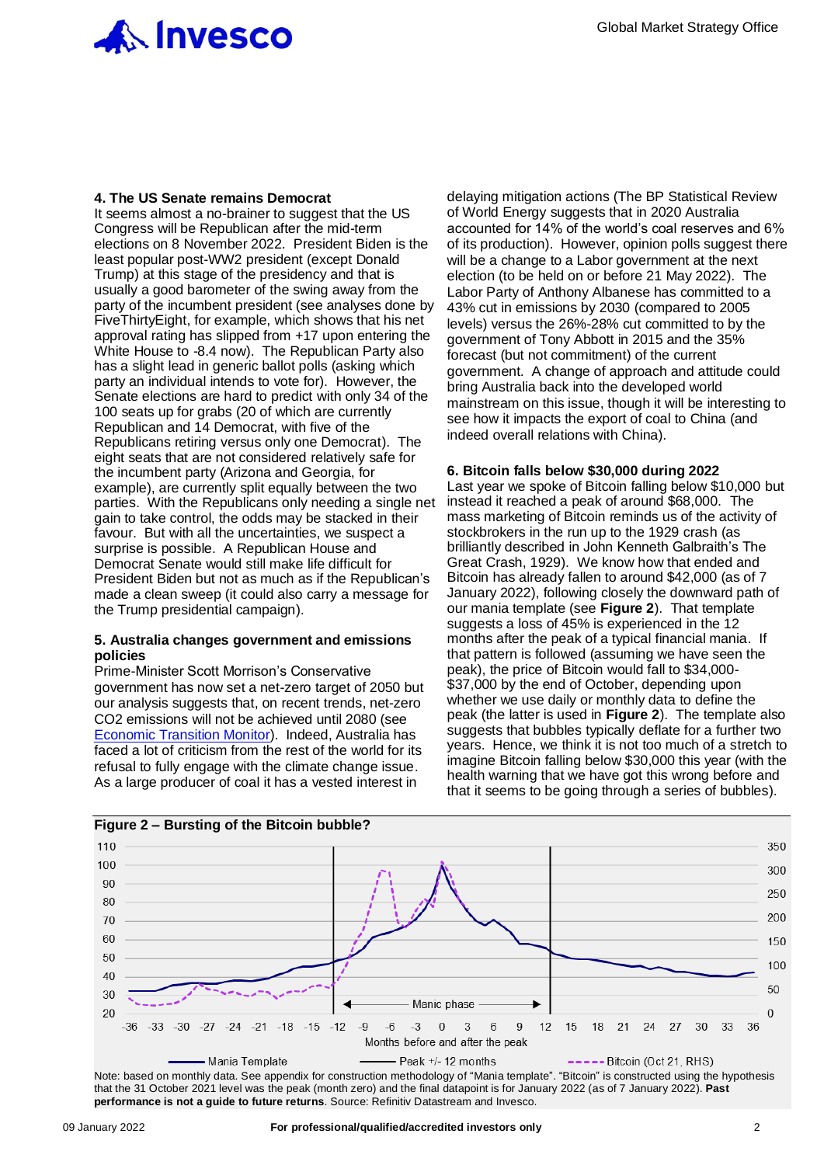

#### **4. The US Senate remains Democrat**

It seems almost a no-brainer to suggest that the US Congress will be Republican after the mid-term elections on 8 November 2022. President Biden is the least popular post-WW2 president (except Donald Trump) at this stage of the presidency and that is usually a good barometer of the swing away from the party of the incumbent president (see analyses done by FiveThirtyEight, for example, which shows that his net approval rating has slipped from +17 upon entering the White House to -8.4 now). The Republican Party also has a slight lead in generic ballot polls (asking which party an individual intends to vote for). However, the Senate elections are hard to predict with only 34 of the 100 seats up for grabs (20 of which are currently Republican and 14 Democrat, with five of the Republicans retiring versus only one Democrat). The eight seats that are not considered relatively safe for the incumbent party (Arizona and Georgia, for example), are currently split equally between the two parties. With the Republicans only needing a single net gain to take control, the odds may be stacked in their favour. But with all the uncertainties, we suspect a surprise is possible. A Republican House and Democrat Senate would still make life difficult for President Biden but not as much as if the Republican's made a clean sweep (it could also carry a message for the Trump presidential campaign).

#### **5. Australia changes government and emissions policies**

Prime-Minister Scott Morrison's Conservative government has now set a net-zero target of 2050 but our analysis suggests that, on recent trends, net-zero CO2 emissions will not be achieved until 2080 (see [Economic Transition Monitor\)](mailto:https://digital.invesco.com/e/481331/tor-Dec-2021-Final-Version-pdf/wyhdj/414036357?h=MP6hgcK0Orn6jPB1KVAZbbUnvI1zuh2z5MXjaSGVoFw). Indeed, Australia has faced a lot of criticism from the rest of the world for its refusal to fully engage with the climate change issue. As a large producer of coal it has a vested interest in

delaying mitigation actions (The BP Statistical Review of World Energy suggests that in 2020 Australia accounted for 14% of the world's coal reserves and 6% of its production). However, opinion polls suggest there will be a change to a Labor government at the next election (to be held on or before 21 May 2022). The Labor Party of Anthony Albanese has committed to a 43% cut in emissions by 2030 (compared to 2005 levels) versus the 26%-28% cut committed to by the government of Tony Abbott in 2015 and the 35% forecast (but not commitment) of the current government. A change of approach and attitude could bring Australia back into the developed world mainstream on this issue, though it will be interesting to see how it impacts the export of coal to China (and indeed overall relations with China).

#### **6. Bitcoin falls below \$30,000 during 2022**

Last year we spoke of Bitcoin falling below \$10,000 but instead it reached a peak of around \$68,000. The mass marketing of Bitcoin reminds us of the activity of stockbrokers in the run up to the 1929 crash (as brilliantly described in John Kenneth Galbraith's The Great Crash, 1929). We know how that ended and Bitcoin has already fallen to around \$42,000 (as of 7 January 2022), following closely the downward path of our mania template (see **Figure 2**). That template suggests a loss of 45% is experienced in the 12 months after the peak of a typical financial mania. If that pattern is followed (assuming we have seen the peak), the price of Bitcoin would fall to \$34,000- \$37,000 by the end of October, depending upon whether we use daily or monthly data to define the peak (the latter is used in **Figure 2**). The template also suggests that bubbles typically deflate for a further two years. Hence, we think it is not too much of a stretch to imagine Bitcoin falling below \$30,000 this year (with the health warning that we have got this wrong before and that it seems to be going through a series of bubbles).



Note: based on monthly data. See appendix for construction methodology of "Mania template". "Bitcoin" is constructed using the hypothesis that the 31 October 2021 level was the peak (month zero) and the final datapoint is for January 2022 (as of 7 January 2022). **Past performance is not a guide to future returns**. Source: Refinitiv Datastream and Invesco.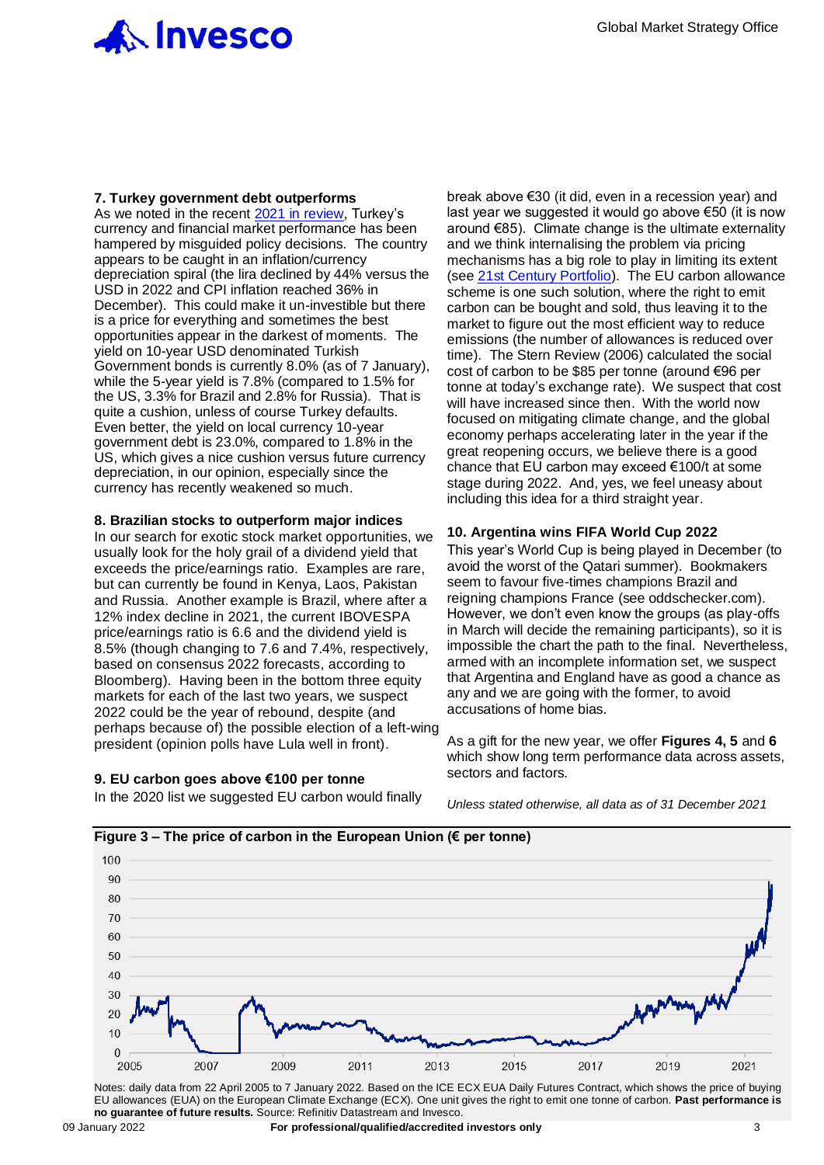

#### **7. Turkey government debt outperforms**

As we noted in the recent [2021 in review,](mailto:https://digital.invesco.com/e/481331/L-Uncommon-truths-02-01-22-pdf/wz3s3/417131900?h=BCC-uYHVNjh_6R6zUF3Exs94folwneClnhymZLOuWOg) Turkey's currency and financial market performance has been hampered by misguided policy decisions. The country appears to be caught in an inflation/currency depreciation spiral (the lira declined by 44% versus the USD in 2022 and CPI inflation reached 36% in December). This could make it un-investible but there is a price for everything and sometimes the best opportunities appear in the darkest of moments. The yield on 10-year USD denominated Turkish Government bonds is currently 8.0% (as of 7 January), while the 5-year yield is 7.8% (compared to 1.5% for the US, 3.3% for Brazil and 2.8% for Russia). That is quite a cushion, unless of course Turkey defaults. Even better, the yield on local currency 10-year government debt is 23.0%, compared to 1.8% in the US, which gives a nice cushion versus future currency depreciation, in our opinion, especially since the currency has recently weakened so much.

#### **8. Brazilian stocks to outperform major indices**

In our search for exotic stock market opportunities, we usually look for the holy grail of a dividend yield that exceeds the price/earnings ratio. Examples are rare, but can currently be found in Kenya, Laos, Pakistan and Russia. Another example is Brazil, where after a 12% index decline in 2021, the current IBOVESPA price/earnings ratio is 6.6 and the dividend yield is 8.5% (though changing to 7.6 and 7.4%, respectively, based on consensus 2022 forecasts, according to Bloomberg). Having been in the bottom three equity markets for each of the last two years, we suspect 2022 could be the year of rebound, despite (and perhaps because of) the possible election of a left-wing president (opinion polls have Lula well in front).

#### **9. EU carbon goes above €100 per tonne**

In the 2020 list we suggested EU carbon would finally

break above €30 (it did, even in a recession year) and last year we suggested it would go above €50 (it is now around €85). Climate change is the ultimate externality and we think internalising the problem via pricing mechanisms has a big role to play in limiting its extent (see [21st Century Portfolio\)](https://digital.invesco.com/e/481331/ENTURY-PORTFOLIO-NOV19-8-0-pdf/t4wfq/250105451?h=UfFGvVeOMWFX7HxEcxcz-G_PXziSOW1rr3Jk_Poq5hw). The EU carbon allowance scheme is one such solution, where the right to emit carbon can be bought and sold, thus leaving it to the market to figure out the most efficient way to reduce emissions (the number of allowances is reduced over time). The Stern Review (2006) calculated the social cost of carbon to be \$85 per tonne (around €96 per tonne at today's exchange rate). We suspect that cost will have increased since then. With the world now focused on mitigating climate change, and the global economy perhaps accelerating later in the year if the great reopening occurs, we believe there is a good chance that EU carbon may exceed €100/t at some stage during 2022. And, yes, we feel uneasy about including this idea for a third straight year.

#### **10. Argentina wins FIFA World Cup 2022**

This year's World Cup is being played in December (to avoid the worst of the Qatari summer). Bookmakers seem to favour five-times champions Brazil and reigning champions France (see oddschecker.com). However, we don't even know the groups (as play-offs in March will decide the remaining participants), so it is impossible the chart the path to the final. Nevertheless, armed with an incomplete information set, we suspect that Argentina and England have as good a chance as any and we are going with the former, to avoid accusations of home bias.

As a gift for the new year, we offer **Figures 4, 5** and **6** which show long term performance data across assets, sectors and factors.

*Unless stated otherwise, all data as of 31 December 2021*





EU allowances (EUA) on the European Climate Exchange (ECX). One unit gives the right to emit one tonne of carbon. **Past performance is no guarantee of future results.** Source: Refinitiv Datastream and Invesco.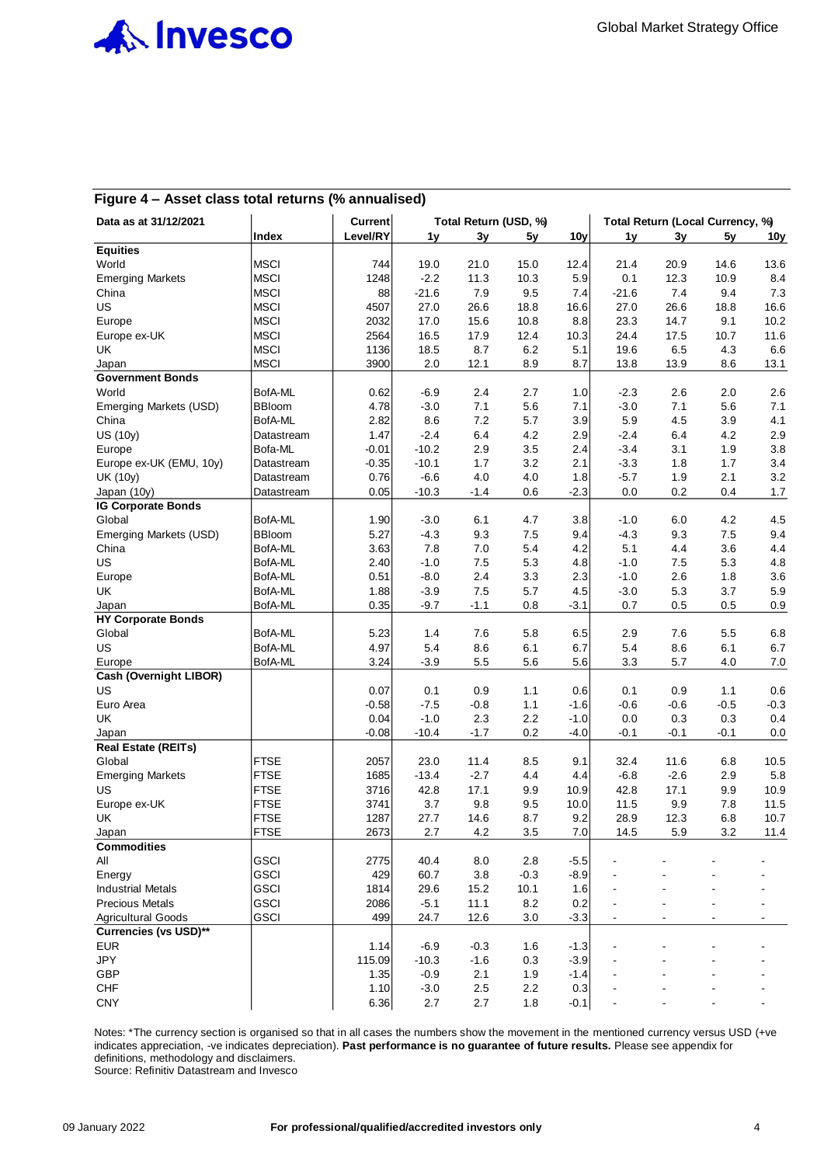

# **Figure 4 – Asset class total returns (% annualised)**

| Data as at 31/12/2021           |               | <b>Current</b> |         |         | Total Return (USD, %) |                 |                          | Total Return (Local Currency, %) |        |                |
|---------------------------------|---------------|----------------|---------|---------|-----------------------|-----------------|--------------------------|----------------------------------|--------|----------------|
|                                 | Index         | Level/RY       | 1y      | 3y      | 5y                    | 10 <sub>y</sub> | 1y                       | 3y                               | 5y     | 10y            |
| <b>Equities</b>                 |               |                |         |         |                       |                 |                          |                                  |        |                |
| World                           | <b>MSCI</b>   | 744            | 19.0    | 21.0    | 15.0                  | 12.4            | 21.4                     | 20.9                             | 14.6   | 13.6           |
| <b>Emerging Markets</b>         | <b>MSCI</b>   | 1248           | $-2.2$  | 11.3    | 10.3                  | 5.9             | 0.1                      | 12.3                             | 10.9   | 8.4            |
| China                           | <b>MSCI</b>   | 88             | $-21.6$ | 7.9     | 9.5                   | 7.4             | $-21.6$                  | 7.4                              | 9.4    | 7.3            |
| US                              | <b>MSCI</b>   | 4507           | 27.0    | 26.6    | 18.8                  | 16.6            | 27.0                     | 26.6                             | 18.8   | 16.6           |
| Europe                          | <b>MSCI</b>   | 2032           | 17.0    | 15.6    | 10.8                  | 8.8             | 23.3                     | 14.7                             | 9.1    | 10.2           |
| Europe ex-UK                    | <b>MSCI</b>   | 2564           | 16.5    | 17.9    | 12.4                  | 10.3            | 24.4                     | 17.5                             | 10.7   | 11.6           |
| UK                              | <b>MSCI</b>   | 1136           | 18.5    | 8.7     | 6.2                   | 5.1             | 19.6                     | 6.5                              | 4.3    | 6.6            |
| Japan                           | <b>MSCI</b>   | 3900           | 2.0     | 12.1    | 8.9                   | 8.7             | 13.8                     | 13.9                             | 8.6    | 13.1           |
| <b>Government Bonds</b>         |               |                |         |         |                       |                 |                          |                                  |        |                |
| World                           | BofA-ML       | 0.62           | $-6.9$  | 2.4     | 2.7                   | 1.0             | $-2.3$                   | 2.6                              | 2.0    | 2.6            |
| Emerging Markets (USD)          | <b>BBloom</b> | 4.78           | $-3.0$  | 7.1     | 5.6                   | 7.1             | $-3.0$                   | 7.1                              | 5.6    | 7.1            |
| China                           | BofA-ML       | 2.82           | 8.6     | 7.2     | 5.7                   | 3.9             | 5.9                      | 4.5                              | 3.9    | 4.1            |
| <b>US (10y)</b>                 | Datastream    | 1.47           | $-2.4$  | 6.4     | 4.2                   | 2.9             | $-2.4$                   | 6.4                              | 4.2    | 2.9            |
| Europe                          | Bofa-ML       | $-0.01$        | $-10.2$ | 2.9     | 3.5                   | 2.4             | $-3.4$                   | 3.1                              | 1.9    | 3.8            |
| Europe ex-UK (EMU, 10y)         | Datastream    | $-0.35$        | $-10.1$ | 1.7     | 3.2                   | 2.1             | $-3.3$                   | 1.8                              | 1.7    | 3.4            |
| <b>UK (10y)</b>                 | Datastream    | 0.76           | $-6.6$  | 4.0     | 4.0                   | 1.8             | $-5.7$                   | 1.9                              | 2.1    | 3.2            |
| Japan (10y)                     | Datastream    | 0.05           | $-10.3$ | $-1.4$  | 0.6                   | $-2.3$          | 0.0                      | 0.2                              | 0.4    | 1.7            |
| <b>IG Corporate Bonds</b>       |               |                |         |         |                       |                 |                          |                                  |        |                |
| Global                          | BofA-ML       | 1.90           | $-3.0$  | 6.1     | 4.7                   | 3.8             | $-1.0$                   | 6.0                              | 4.2    | 4.5            |
|                                 | <b>BBloom</b> | 5.27           | $-4.3$  | 9.3     | 7.5                   | 9.4             | $-4.3$                   | 9.3                              | 7.5    | 9.4            |
| Emerging Markets (USD)<br>China | BofA-ML       | 3.63           | 7.8     | 7.0     | 5.4                   | 4.2             | 5.1                      | 4.4                              | 3.6    | 4.4            |
|                                 |               |                |         |         |                       |                 |                          |                                  |        |                |
| US                              | BofA-ML       | 2.40           | $-1.0$  | 7.5     | 5.3                   | 4.8             | $-1.0$                   | 7.5                              | 5.3    | 4.8            |
| Europe                          | BofA-ML       | 0.51           | $-8.0$  | 2.4     | 3.3                   | 2.3             | $-1.0$                   | 2.6                              | 1.8    | 3.6            |
| UK                              | BofA-ML       | 1.88           | $-3.9$  | 7.5     | 5.7                   | 4.5             | $-3.0$                   | 5.3                              | 3.7    | 5.9            |
| Japan                           | BofA-ML       | 0.35           | $-9.7$  | $-1.1$  | 0.8                   | $-3.1$          | 0.7                      | 0.5                              | 0.5    | 0.9            |
| <b>HY Corporate Bonds</b>       |               |                |         |         |                       |                 |                          |                                  |        |                |
| Global                          | BofA-ML       | 5.23           | 1.4     | 7.6     | 5.8                   | 6.5             | 2.9                      | 7.6                              | 5.5    | 6.8            |
| <b>US</b>                       | BofA-ML       | 4.97           | 5.4     | 8.6     | 6.1                   | 6.7             | 5.4                      | 8.6                              | 6.1    | 6.7            |
| Europe                          | BofA-ML       | 3.24           | $-3.9$  | 5.5     | 5.6                   | 5.6             | 3.3                      | 5.7                              | 4.0    | 7.0            |
| Cash (Overnight LIBOR)          |               |                |         |         |                       |                 |                          |                                  |        |                |
| US                              |               | 0.07           | 0.1     | 0.9     | 1.1                   | 0.6             | 0.1                      | 0.9                              | 1.1    | 0.6            |
| Euro Area                       |               | $-0.58$        | $-7.5$  | $-0.8$  | 1.1                   | $-1.6$          | $-0.6$                   | $-0.6$                           | $-0.5$ | $-0.3$         |
| UK                              |               | 0.04           | $-1.0$  | 2.3     | 2.2                   | $-1.0$          | 0.0                      | 0.3                              | 0.3    | 0.4            |
| Japan                           |               | $-0.08$        | $-10.4$ | $-1.7$  | 0.2                   | $-4.0$          | $-0.1$                   | $-0.1$                           | $-0.1$ | 0.0            |
| <b>Real Estate (REITs)</b>      |               |                |         |         |                       |                 |                          |                                  |        |                |
| Global                          | <b>FTSE</b>   | 2057           | 23.0    | 11.4    | 8.5                   | 9.1             | 32.4                     | 11.6                             | 6.8    | 10.5           |
| <b>Emerging Markets</b>         | <b>FTSE</b>   | 1685           | $-13.4$ | $-2.7$  | 4.4                   | 4.4             | $-6.8$                   | $-2.6$                           | 2.9    | 5.8            |
| US                              | <b>FTSE</b>   | 3716           | 42.8    | 17.1    | 9.9                   | 10.9            | 42.8                     | 17.1                             | 9.9    | 10.9           |
| Europe ex-UK                    | <b>FTSE</b>   | 3741           | 3.7     | 9.8     | 9.5                   | 10.0            | 11.5                     | 9.9                              | 7.8    | 11.5           |
| UK                              | <b>FTSE</b>   | 1287           | 27.7    | 14.6    | 8.7                   | 9.2             | 28.9                     | 12.3                             | 6.8    | 10.7           |
| Japan                           | FTSE          | 2673           | 2.7     | 4.2     | 3.5                   | 7.0             | 14.5                     | 5.9                              | 3.2    | 11.4           |
| <b>Commodities</b>              |               |                |         |         |                       |                 |                          |                                  |        |                |
| All                             | <b>GSCI</b>   | 2775           | 40.4    | 8.0     | 2.8                   | $-5.5$          |                          |                                  |        |                |
| Energy                          | <b>GSCI</b>   | 429            | 60.7    | 3.8     | $-0.3$                | $-8.9$          |                          |                                  |        |                |
| <b>Industrial Metals</b>        | <b>GSCI</b>   | 1814           | 29.6    | 15.2    | 10.1                  | 1.6             |                          |                                  |        |                |
| <b>Precious Metals</b>          | <b>GSCI</b>   | 2086           | $-5.1$  | 11.1    | 8.2                   | 0.2             |                          |                                  |        |                |
| <b>Agricultural Goods</b>       | <b>GSCI</b>   | 499            | 24.7    | 12.6    | 3.0                   | $-3.3$          | $\overline{\phantom{a}}$ |                                  |        | $\blacksquare$ |
| <b>Currencies (vs USD)**</b>    |               |                |         |         |                       |                 |                          |                                  |        |                |
| <b>EUR</b>                      |               | 1.14           | $-6.9$  | $-0.3$  | 1.6                   | $-1.3$          |                          |                                  |        |                |
| JPY                             |               | 115.09         | $-10.3$ | $-1.6$  | 0.3                   | $-3.9$          |                          |                                  |        |                |
| GBP                             |               | 1.35           | $-0.9$  | 2.1     | 1.9                   | $-1.4$          |                          |                                  |        |                |
| <b>CHF</b>                      |               | 1.10           | $-3.0$  | $2.5\,$ | 2.2                   | 0.3             |                          |                                  |        |                |
| <b>CNY</b>                      |               | 6.36           | 2.7     | 2.7     | 1.8                   | $-0.1$          |                          |                                  |        |                |
|                                 |               |                |         |         |                       |                 |                          |                                  |        |                |

Notes: \*The currency section is organised so that in all cases the numbers show the movement in the mentioned currency versus USD (+ve indicates appreciation, -ve indicates depreciation). **Past performance is no guarantee of future results.** Please see appendix for definitions, methodology and disclaimers.

Source: Refinitiv Datastream and Invesco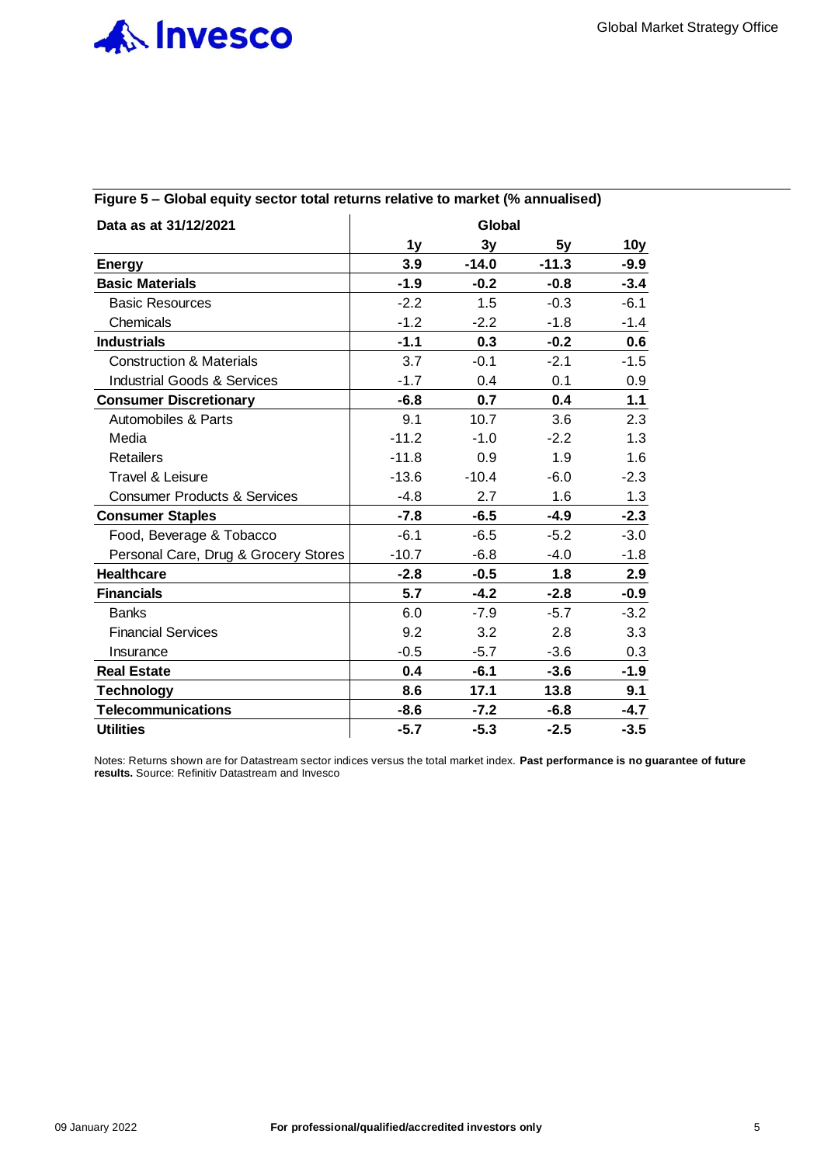

| Data as at 31/12/2021                   |         | Global  |         |                 |
|-----------------------------------------|---------|---------|---------|-----------------|
|                                         | 1y      | 3y      | 5y      | 10 <sub>y</sub> |
| <b>Energy</b>                           | 3.9     | $-14.0$ | $-11.3$ | $-9.9$          |
| <b>Basic Materials</b>                  | $-1.9$  | $-0.2$  | $-0.8$  | $-3.4$          |
| <b>Basic Resources</b>                  | $-2.2$  | 1.5     | $-0.3$  | $-6.1$          |
| Chemicals                               | $-1.2$  | $-2.2$  | $-1.8$  | $-1.4$          |
| <b>Industrials</b>                      | $-1.1$  | 0.3     | $-0.2$  | 0.6             |
| <b>Construction &amp; Materials</b>     | 3.7     | $-0.1$  | $-2.1$  | $-1.5$          |
| <b>Industrial Goods &amp; Services</b>  | $-1.7$  | 0.4     | 0.1     | 0.9             |
| <b>Consumer Discretionary</b>           | $-6.8$  | 0.7     | 0.4     | 1.1             |
| Automobiles & Parts                     | 9.1     | 10.7    | 3.6     | 2.3             |
| Media                                   | $-11.2$ | $-1.0$  | $-2.2$  | 1.3             |
| <b>Retailers</b>                        | $-11.8$ | 0.9     | 1.9     | 1.6             |
| Travel & Leisure                        | $-13.6$ | $-10.4$ | $-6.0$  | $-2.3$          |
| <b>Consumer Products &amp; Services</b> | $-4.8$  | 2.7     | 1.6     | 1.3             |
| <b>Consumer Staples</b>                 | $-7.8$  | $-6.5$  | $-4.9$  | $-2.3$          |
| Food, Beverage & Tobacco                | $-6.1$  | $-6.5$  | $-5.2$  | $-3.0$          |
| Personal Care, Drug & Grocery Stores    | $-10.7$ | $-6.8$  | $-4.0$  | $-1.8$          |
| <b>Healthcare</b>                       | $-2.8$  | $-0.5$  | 1.8     | 2.9             |
| <b>Financials</b>                       | 5.7     | $-4.2$  | $-2.8$  | $-0.9$          |
| <b>Banks</b>                            | 6.0     | $-7.9$  | $-5.7$  | $-3.2$          |
| <b>Financial Services</b>               | 9.2     | 3.2     | 2.8     | 3.3             |
| Insurance                               | $-0.5$  | $-5.7$  | $-3.6$  | 0.3             |
| <b>Real Estate</b>                      | 0.4     | $-6.1$  | $-3.6$  | $-1.9$          |
| <b>Technology</b>                       | 8.6     | 17.1    | 13.8    | 9.1             |
| <b>Telecommunications</b>               | $-8.6$  | $-7.2$  | $-6.8$  | $-4.7$          |
| <b>Utilities</b>                        | $-5.7$  | $-5.3$  | $-2.5$  | $-3.5$          |

# **Figure 5 – Global equity sector total returns relative to market (% annualised)**

Notes: Returns shown are for Datastream sector indices versus the total market index. **Past performance is no guarantee of future results.** Source: Refinitiv Datastream and Invesco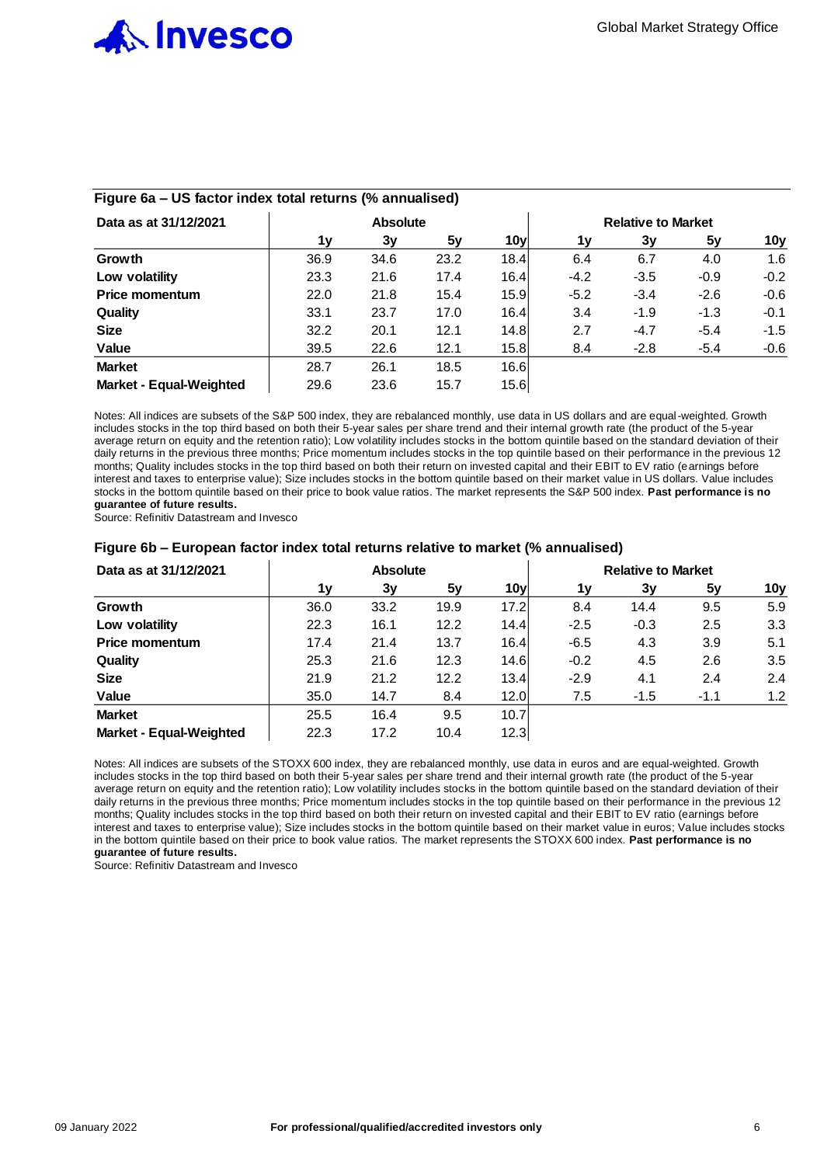

| Data as at 31/12/2021          | <b>Absolute</b> |      |      |                 | <b>Relative to Market</b> |        |        |        |  |
|--------------------------------|-----------------|------|------|-----------------|---------------------------|--------|--------|--------|--|
|                                | 1v              | 3v   | 5v   | 10 <sub>y</sub> | 1۷                        | 3v     | 5y     | 10y    |  |
| Growth                         | 36.9            | 34.6 | 23.2 | 18.4            | 6.4                       | 6.7    | 4.0    | 1.6    |  |
| Low volatility                 | 23.3            | 21.6 | 17.4 | 16.4            | $-4.2$                    | $-3.5$ | $-0.9$ | $-0.2$ |  |
| Price momentum                 | 22.0            | 21.8 | 15.4 | 15.9            | $-5.2$                    | $-3.4$ | $-2.6$ | $-0.6$ |  |
| Quality                        | 33.1            | 23.7 | 17.0 | 16.4            | 3.4                       | $-1.9$ | $-1.3$ | $-0.1$ |  |
| <b>Size</b>                    | 32.2            | 20.1 | 12.1 | 14.8            | 2.7                       | $-4.7$ | $-5.4$ | $-1.5$ |  |
| Value                          | 39.5            | 22.6 | 12.1 | 15.8            | 8.4                       | $-2.8$ | $-5.4$ | $-0.6$ |  |
| <b>Market</b>                  | 28.7            | 26.1 | 18.5 | 16.6            |                           |        |        |        |  |
| <b>Market - Equal-Weighted</b> | 29.6            | 23.6 | 15.7 | 15.6            |                           |        |        |        |  |

## **Figure 6a – US factor index total returns (% annualised)**

Notes: All indices are subsets of the S&P 500 index, they are rebalanced monthly, use data in US dollars and are equal-weighted. Growth includes stocks in the top third based on both their 5-year sales per share trend and their internal growth rate (the product of the 5-year average return on equity and the retention ratio); Low volatility includes stocks in the bottom quintile based on the standard deviation of their daily returns in the previous three months; Price momentum includes stocks in the top quintile based on their performance in the previous 12 months; Quality includes stocks in the top third based on both their return on invested capital and their EBIT to EV ratio (earnings before interest and taxes to enterprise value); Size includes stocks in the bottom quintile based on their market value in US dollars. Value includes stocks in the bottom quintile based on their price to book value ratios. The market represents the S&P 500 index. **Past performance is no guarantee of future results.**

Source: Refinitiv Datastream and Invesco

#### **Figure 6b – European factor index total returns relative to market (% annualised)**

| Data as at 31/12/2021          |      | <b>Absolute</b> |      |                 | <b>Relative to Market</b> |        |        |                 |
|--------------------------------|------|-----------------|------|-----------------|---------------------------|--------|--------|-----------------|
|                                | 1v   | 3v              | 5v   | 10 <sub>V</sub> | 1۷                        | 3ν     | 5v     | 10 <sub>y</sub> |
| Growth                         | 36.0 | 33.2            | 19.9 | 17.2            | 8.4                       | 14.4   | 9.5    | 5.9             |
| Low volatility                 | 22.3 | 16.1            | 12.2 | 14.4            | $-2.5$                    | $-0.3$ | 2.5    | 3.3             |
| <b>Price momentum</b>          | 17.4 | 21.4            | 13.7 | 16.4            | $-6.5$                    | 4.3    | 3.9    | 5.1             |
| Quality                        | 25.3 | 21.6            | 12.3 | 14.6            | $-0.2$                    | 4.5    | 2.6    | 3.5             |
| <b>Size</b>                    | 21.9 | 21.2            | 12.2 | 13.4            | $-2.9$                    | 4.1    | 2.4    | 2.4             |
| Value                          | 35.0 | 14.7            | 8.4  | 12.0            | 7.5                       | $-1.5$ | $-1.1$ | 1.2             |
| <b>Market</b>                  | 25.5 | 16.4            | 9.5  | 10.7            |                           |        |        |                 |
| <b>Market - Equal-Weighted</b> | 22.3 | 17.2            | 10.4 | 12.3            |                           |        |        |                 |

Notes: All indices are subsets of the STOXX 600 index, they are rebalanced monthly, use data in euros and are equal-weighted. Growth includes stocks in the top third based on both their 5-year sales per share trend and their internal growth rate (the product of the 5-year average return on equity and the retention ratio); Low volatility includes stocks in the bottom quintile based on the standard deviation of their daily returns in the previous three months; Price momentum includes stocks in the top quintile based on their performance in the previous 12 months; Quality includes stocks in the top third based on both their return on invested capital and their EBIT to EV ratio (earnings before interest and taxes to enterprise value); Size includes stocks in the bottom quintile based on their market value in euros; Value includes stocks in the bottom quintile based on their price to book value ratios. The market represents the STOXX 600 index. **Past performance is no guarantee of future results.**

Source: Refinitiv Datastream and Invesco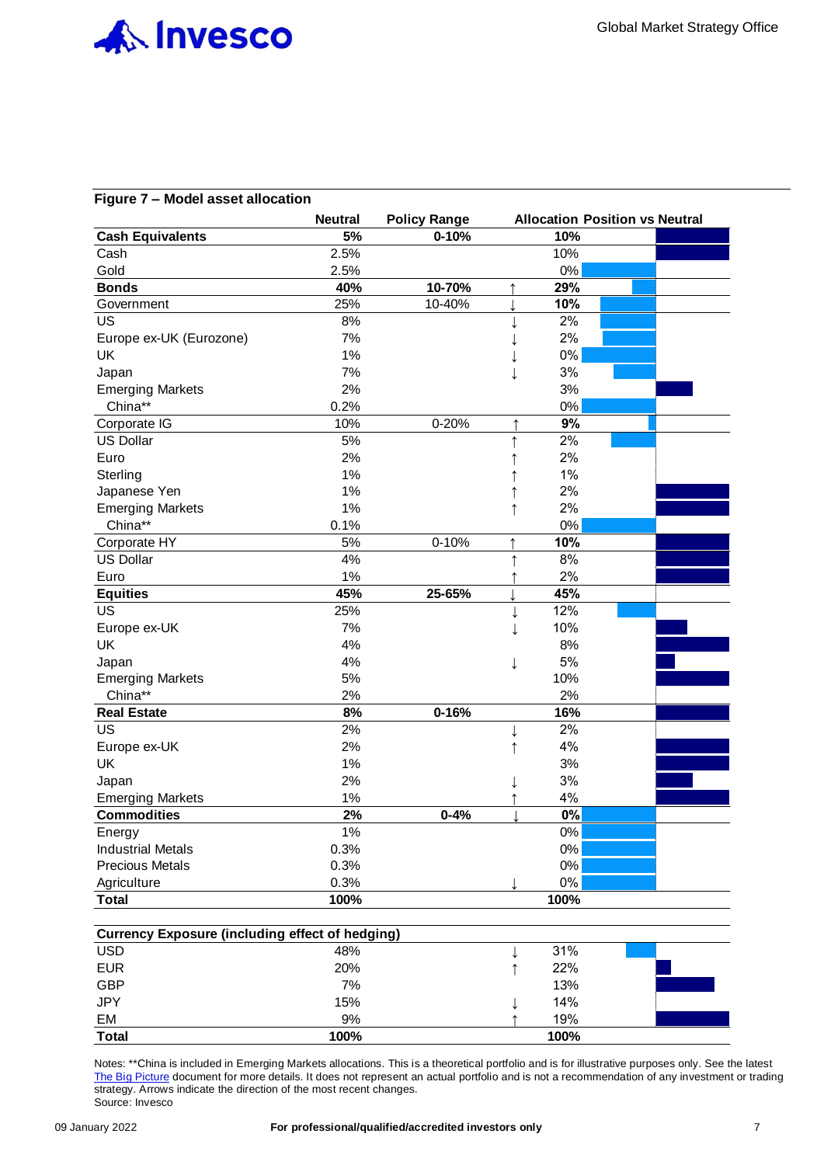

#### **Figure 7 – Model asset allocation**

|                          | <b>Neutral</b> | <b>Policy Range</b> |              |       | <b>Allocation Position vs Neutral</b> |
|--------------------------|----------------|---------------------|--------------|-------|---------------------------------------|
| <b>Cash Equivalents</b>  | 5%             | $0 - 10%$           |              | 10%   |                                       |
| Cash                     | 2.5%           |                     |              | 10%   |                                       |
| Gold                     | 2.5%           |                     |              | $0\%$ |                                       |
| <b>Bonds</b>             | 40%            | 10-70%              | ↑            | 29%   |                                       |
| Government               | 25%            | 10-40%              |              | 10%   |                                       |
| <b>US</b>                | 8%             |                     | ↓            | 2%    |                                       |
| Europe ex-UK (Eurozone)  | 7%             |                     |              | 2%    |                                       |
| <b>UK</b>                | 1%             |                     |              | 0%    |                                       |
| Japan                    | 7%             |                     | $\downarrow$ | 3%    |                                       |
| <b>Emerging Markets</b>  | 2%             |                     |              | 3%    |                                       |
| China**                  | 0.2%           |                     |              | 0%    |                                       |
| Corporate IG             | 10%            | 0-20%               | $\uparrow$   | 9%    |                                       |
| <b>US Dollar</b>         | 5%             |                     | $\uparrow$   | 2%    |                                       |
| Euro                     | 2%             |                     |              | 2%    |                                       |
| Sterling                 | 1%             |                     |              | 1%    |                                       |
| Japanese Yen             | 1%             |                     | $\uparrow$   | 2%    |                                       |
| <b>Emerging Markets</b>  | 1%             |                     | $\uparrow$   | 2%    |                                       |
| China**                  | 0.1%           |                     |              | 0%    |                                       |
| Corporate HY             | 5%             | $0 - 10%$           | ↑            | 10%   |                                       |
| <b>US Dollar</b>         | 4%             |                     | $\uparrow$   | 8%    |                                       |
| Euro                     | 1%             |                     |              | 2%    |                                       |
| <b>Equities</b>          | 45%            | 25-65%              |              | 45%   |                                       |
| <b>US</b>                | 25%            |                     | $\downarrow$ | 12%   |                                       |
| Europe ex-UK             | 7%             |                     |              | 10%   |                                       |
| UK                       | 4%             |                     |              | 8%    |                                       |
| Japan                    | 4%             |                     | ↓            | 5%    |                                       |
| <b>Emerging Markets</b>  | 5%             |                     |              | 10%   |                                       |
| China**                  | 2%             |                     |              | 2%    |                                       |
| <b>Real Estate</b>       | 8%             | $0 - 16%$           |              | 16%   |                                       |
| <b>US</b>                | 2%             |                     |              | 2%    |                                       |
| Europe ex-UK             | 2%             |                     | ↑            | 4%    |                                       |
| <b>UK</b>                | 1%             |                     |              | 3%    |                                       |
| Japan                    | 2%             |                     |              | 3%    |                                       |
| <b>Emerging Markets</b>  | 1%             |                     |              | 4%    |                                       |
| <b>Commodities</b>       | 2%             | $0 - 4%$            |              | 0%    |                                       |
| Energy                   | 1%             |                     |              | 0%    |                                       |
| <b>Industrial Metals</b> | 0.3%           |                     |              | 0%    |                                       |
| <b>Precious Metals</b>   | 0.3%           |                     |              | 0%    |                                       |
| Agriculture              | 0.3%           |                     |              | $0\%$ |                                       |
| <b>Total</b>             | 100%           |                     |              | 100%  |                                       |

|              | <b>Currency Exposure (including effect of hedging)</b> |      |  |
|--------------|--------------------------------------------------------|------|--|
| <b>USD</b>   | 48%                                                    | 31%  |  |
| <b>EUR</b>   | 20%                                                    | 22%  |  |
| <b>GBP</b>   | 7%                                                     | 13%  |  |
| <b>JPY</b>   | 15%                                                    | 14%  |  |
| EM           | 9%                                                     | 19%  |  |
| <b>Total</b> | 100%                                                   | 100% |  |

Notes: \*\*China is included in Emerging Markets allocations. This is a theoretical portfolio and is for illustrative purposes only. See the latest [The Big Picture](https://digital.invesco.com/e/481331/-2021---2022-Outlook-Final-pdf/wx3hs/408870439?h=ecfo3JHiEoBUwoygn6zinbmGnCDV5sIHEpTWnlCp3dg) document for more details. It does not represent an actual portfolio and is not a recommendation of any investment or trading strategy. Arrows indicate the direction of the most recent changes. Source: Invesco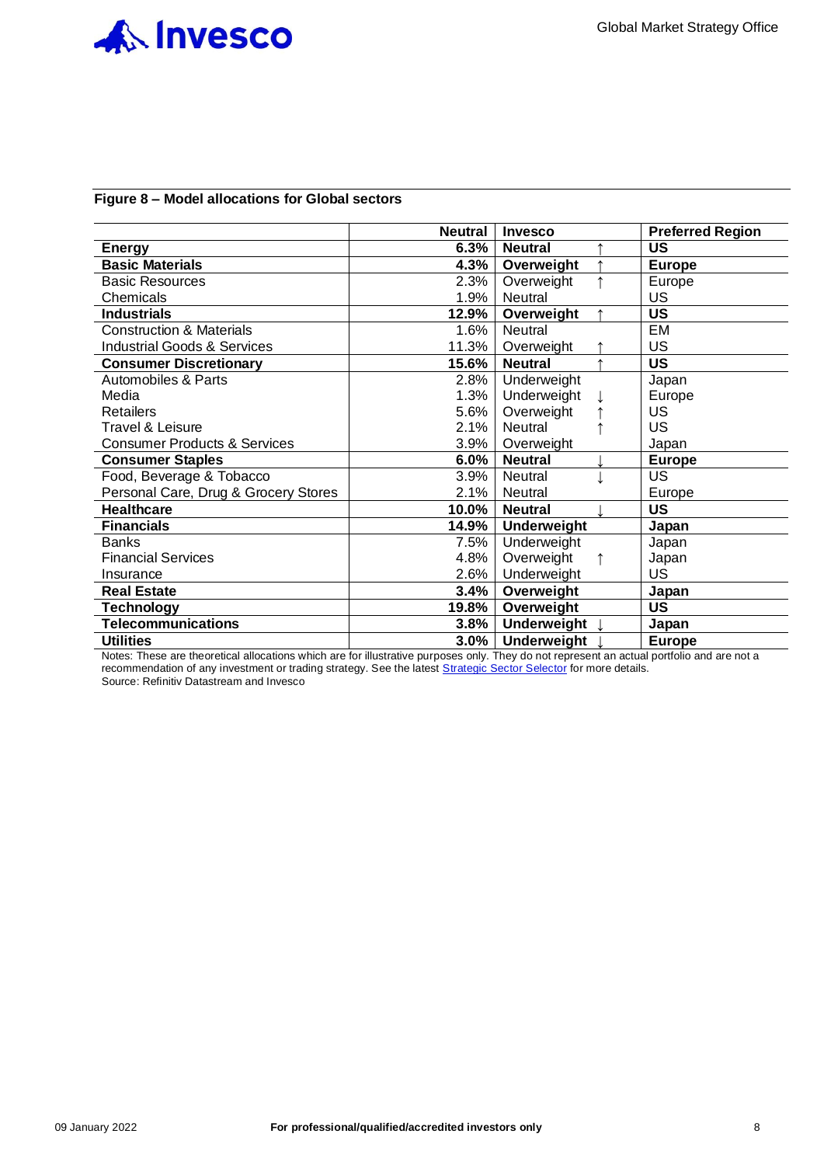

#### **Figure 8 – Model allocations for Global sectors**

|                                         | <b>Neutral</b> | <b>Invesco</b>     | <b>Preferred Region</b> |
|-----------------------------------------|----------------|--------------------|-------------------------|
| <b>Energy</b>                           | 6.3%           | <b>Neutral</b>     | US                      |
| <b>Basic Materials</b>                  | 4.3%           | Overweight         | <b>Europe</b>           |
| <b>Basic Resources</b>                  | 2.3%           | Overweight         | Europe                  |
| Chemicals                               | 1.9%           | Neutral            | <b>US</b>               |
| <b>Industrials</b>                      | 12.9%          | Overweight         | <b>US</b>               |
| <b>Construction &amp; Materials</b>     | 1.6%           | <b>Neutral</b>     | EM                      |
| <b>Industrial Goods &amp; Services</b>  | 11.3%          | Overweight         | <b>US</b>               |
| <b>Consumer Discretionary</b>           | 15.6%          | <b>Neutral</b>     | <b>US</b>               |
| Automobiles & Parts                     | 2.8%           | Underweight        | Japan                   |
| Media                                   | 1.3%           | Underweight        | Europe                  |
| <b>Retailers</b>                        | 5.6%           | Overweight         | US.                     |
| Travel & Leisure                        | 2.1%           | Neutral            | <b>US</b>               |
| <b>Consumer Products &amp; Services</b> | $3.9\%$        | Overweight         | Japan                   |
| <b>Consumer Staples</b>                 | 6.0%           | <b>Neutral</b>     | <b>Europe</b>           |
| Food, Beverage & Tobacco                | 3.9%           | Neutral            | <b>US</b>               |
| Personal Care, Drug & Grocery Stores    | 2.1%           | Neutral            | Europe                  |
| <b>Healthcare</b>                       | 10.0%          | <b>Neutral</b>     | <b>US</b>               |
| <b>Financials</b>                       | 14.9%          | <b>Underweight</b> | Japan                   |
| <b>Banks</b>                            | 7.5%           | Underweight        | Japan                   |
| <b>Financial Services</b>               | 4.8%           | Overweight         | Japan                   |
| Insurance                               | 2.6%           | Underweight        | <b>US</b>               |
| <b>Real Estate</b>                      | 3.4%           | Overweight         | Japan                   |
| <b>Technology</b>                       | 19.8%          | Overweight         | <b>US</b>               |
| <b>Telecommunications</b>               | 3.8%           | <b>Underweight</b> | Japan                   |
| <b>Utilities</b>                        | 3.0%           | <b>Underweight</b> | <b>Europe</b>           |

Notes: These are theoretical allocations which are for illustrative purposes only. They do not represent an actual portfolio and are not a recommendation of any investment or trading strategy. See the latest [Strategic Sector Selector](https://digital.invesco.com/e/481331/Sector-Selector---Oct-2021-pdf/wv3wb/401015339?h=PnDYBGhmmJh-2YmNb3xw7flrTNayQjrOQTREeW0pWT0) for more details. Source: Refinitiv Datastream and Invesco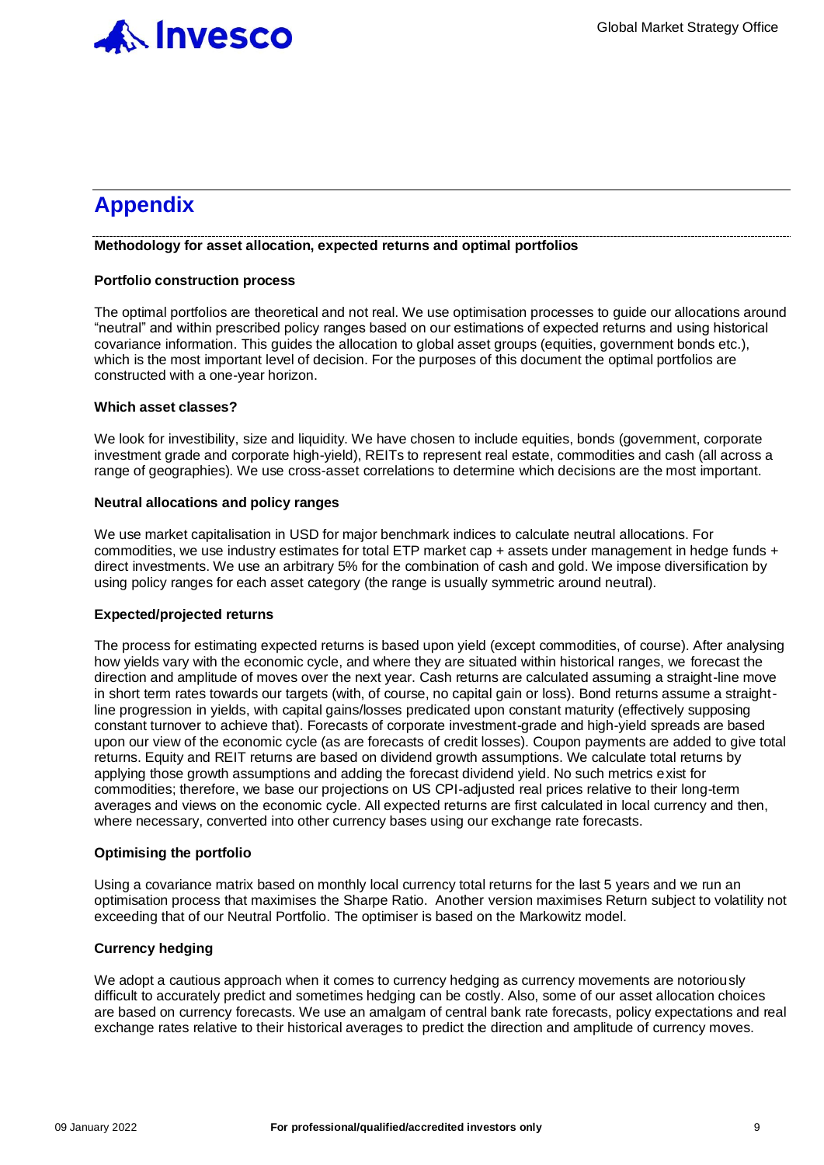

# **Appendix**

#### **Methodology for asset allocation, expected returns and optimal portfolios**

#### **Portfolio construction process**

The optimal portfolios are theoretical and not real. We use optimisation processes to guide our allocations around "neutral" and within prescribed policy ranges based on our estimations of expected returns and using historical covariance information. This guides the allocation to global asset groups (equities, government bonds etc.), which is the most important level of decision. For the purposes of this document the optimal portfolios are constructed with a one-year horizon.

#### **Which asset classes?**

We look for investibility, size and liquidity. We have chosen to include equities, bonds (government, corporate investment grade and corporate high-yield), REITs to represent real estate, commodities and cash (all across a range of geographies). We use cross-asset correlations to determine which decisions are the most important.

#### **Neutral allocations and policy ranges**

We use market capitalisation in USD for major benchmark indices to calculate neutral allocations. For commodities, we use industry estimates for total ETP market cap + assets under management in hedge funds + direct investments. We use an arbitrary 5% for the combination of cash and gold. We impose diversification by using policy ranges for each asset category (the range is usually symmetric around neutral).

#### **Expected/projected returns**

The process for estimating expected returns is based upon yield (except commodities, of course). After analysing how yields vary with the economic cycle, and where they are situated within historical ranges, we forecast the direction and amplitude of moves over the next year. Cash returns are calculated assuming a straight-line move in short term rates towards our targets (with, of course, no capital gain or loss). Bond returns assume a straightline progression in yields, with capital gains/losses predicated upon constant maturity (effectively supposing constant turnover to achieve that). Forecasts of corporate investment-grade and high-yield spreads are based upon our view of the economic cycle (as are forecasts of credit losses). Coupon payments are added to give total returns. Equity and REIT returns are based on dividend growth assumptions. We calculate total returns by applying those growth assumptions and adding the forecast dividend yield. No such metrics exist for commodities; therefore, we base our projections on US CPI-adjusted real prices relative to their long-term averages and views on the economic cycle. All expected returns are first calculated in local currency and then, where necessary, converted into other currency bases using our exchange rate forecasts.

### **Optimising the portfolio**

Using a covariance matrix based on monthly local currency total returns for the last 5 years and we run an optimisation process that maximises the Sharpe Ratio. Another version maximises Return subject to volatility not exceeding that of our Neutral Portfolio. The optimiser is based on the Markowitz model.

### **Currency hedging**

We adopt a cautious approach when it comes to currency hedging as currency movements are notoriously difficult to accurately predict and sometimes hedging can be costly. Also, some of our asset allocation choices are based on currency forecasts. We use an amalgam of central bank rate forecasts, policy expectations and real exchange rates relative to their historical averages to predict the direction and amplitude of currency moves.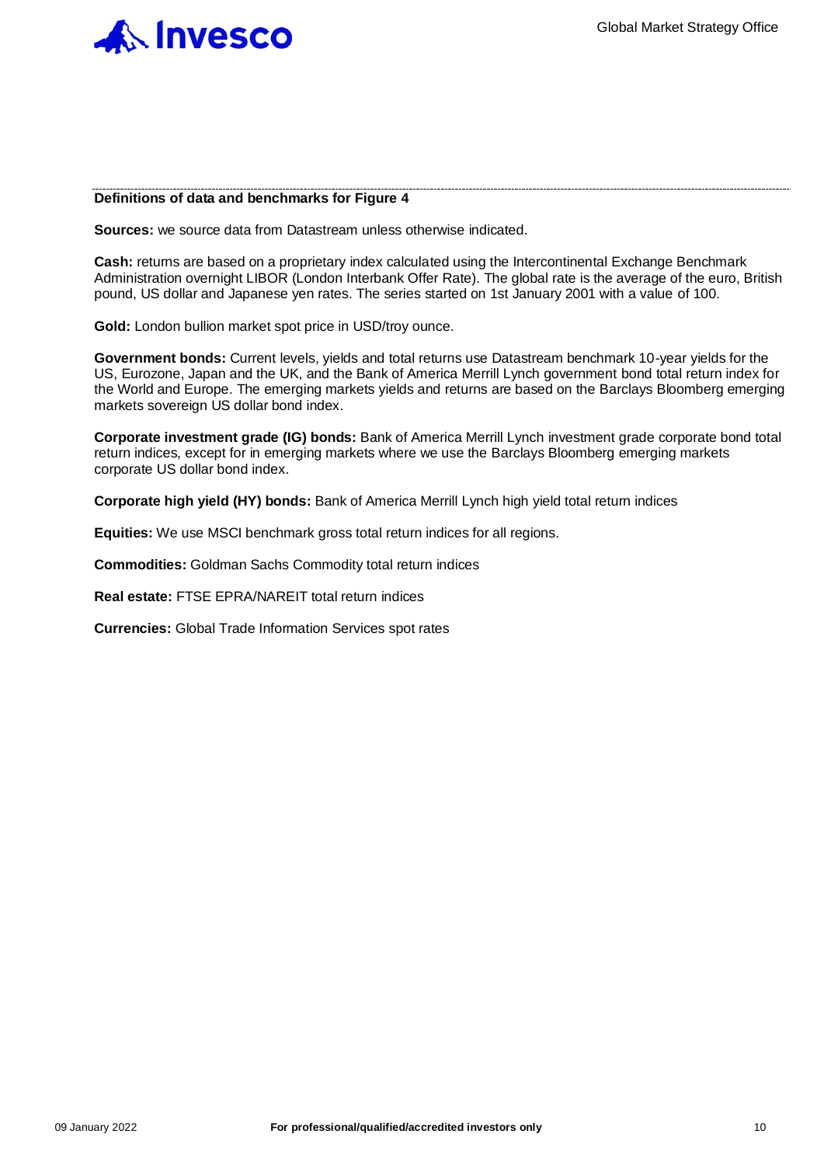

#### **Definitions of data and benchmarks for Figure 4**

**Sources:** we source data from Datastream unless otherwise indicated.

**Cash:** returns are based on a proprietary index calculated using the Intercontinental Exchange Benchmark Administration overnight LIBOR (London Interbank Offer Rate). The global rate is the average of the euro, British pound, US dollar and Japanese yen rates. The series started on 1st January 2001 with a value of 100.

**Gold:** London bullion market spot price in USD/troy ounce.

**Government bonds:** Current levels, yields and total returns use Datastream benchmark 10-year yields for the US, Eurozone, Japan and the UK, and the Bank of America Merrill Lynch government bond total return index for the World and Europe. The emerging markets yields and returns are based on the Barclays Bloomberg emerging markets sovereign US dollar bond index.

**Corporate investment grade (IG) bonds:** Bank of America Merrill Lynch investment grade corporate bond total return indices, except for in emerging markets where we use the Barclays Bloomberg emerging markets corporate US dollar bond index.

**Corporate high yield (HY) bonds:** Bank of America Merrill Lynch high yield total return indices

**Equities:** We use MSCI benchmark gross total return indices for all regions.

**Commodities:** Goldman Sachs Commodity total return indices

**Real estate:** FTSE EPRA/NAREIT total return indices

**Currencies:** Global Trade Information Services spot rates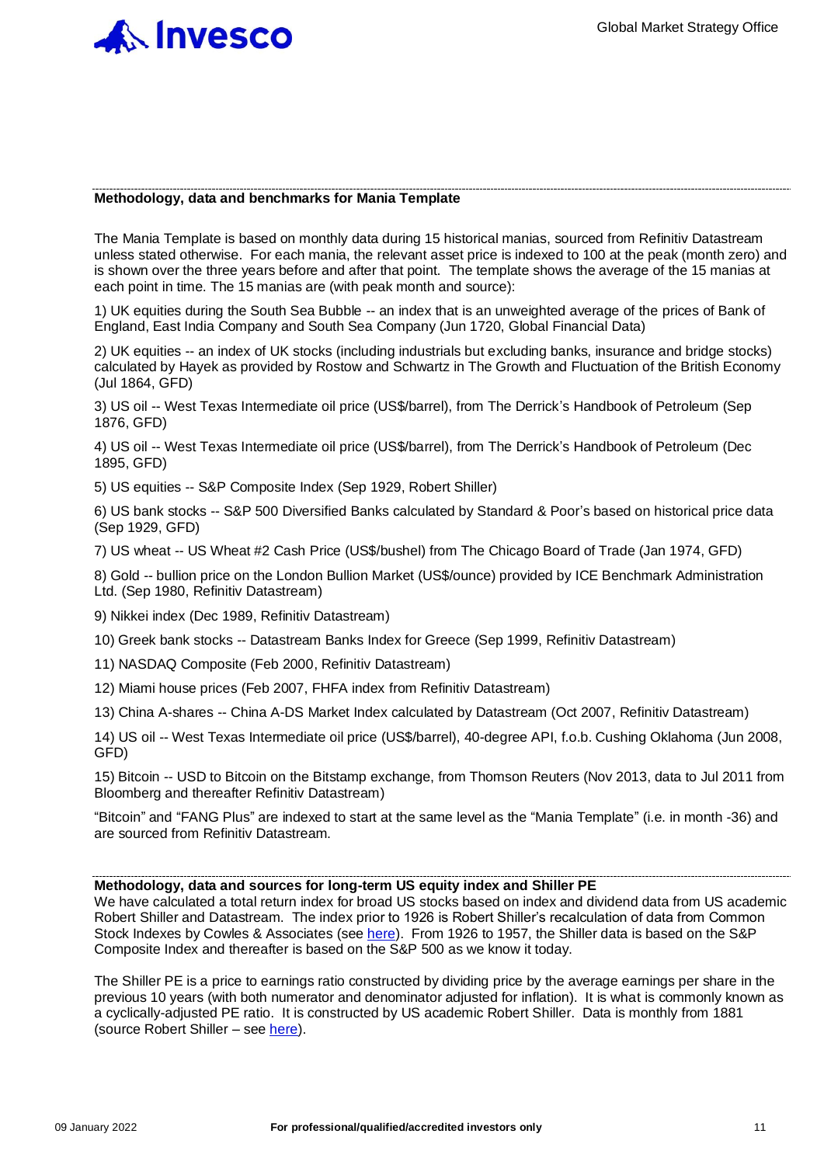

#### **Methodology, data and benchmarks for Mania Template**

The Mania Template is based on monthly data during 15 historical manias, sourced from Refinitiv Datastream unless stated otherwise. For each mania, the relevant asset price is indexed to 100 at the peak (month zero) and is shown over the three years before and after that point. The template shows the average of the 15 manias at each point in time. The 15 manias are (with peak month and source):

1) UK equities during the South Sea Bubble -- an index that is an unweighted average of the prices of Bank of England, East India Company and South Sea Company (Jun 1720, Global Financial Data)

2) UK equities -- an index of UK stocks (including industrials but excluding banks, insurance and bridge stocks) calculated by Hayek as provided by Rostow and Schwartz in The Growth and Fluctuation of the British Economy (Jul 1864, GFD)

3) US oil -- West Texas Intermediate oil price (US\$/barrel), from The Derrick's Handbook of Petroleum (Sep 1876, GFD)

4) US oil -- West Texas Intermediate oil price (US\$/barrel), from The Derrick's Handbook of Petroleum (Dec 1895, GFD)

5) US equities -- S&P Composite Index (Sep 1929, Robert Shiller)

6) US bank stocks -- S&P 500 Diversified Banks calculated by Standard & Poor's based on historical price data (Sep 1929, GFD)

7) US wheat -- US Wheat #2 Cash Price (US\$/bushel) from The Chicago Board of Trade (Jan 1974, GFD)

8) Gold -- bullion price on the London Bullion Market (US\$/ounce) provided by ICE Benchmark Administration Ltd. (Sep 1980, Refinitiv Datastream)

9) Nikkei index (Dec 1989, Refinitiv Datastream)

10) Greek bank stocks -- Datastream Banks Index for Greece (Sep 1999, Refinitiv Datastream)

11) NASDAQ Composite (Feb 2000, Refinitiv Datastream)

12) Miami house prices (Feb 2007, FHFA index from Refinitiv Datastream)

13) China A-shares -- China A-DS Market Index calculated by Datastream (Oct 2007, Refinitiv Datastream)

14) US oil -- West Texas Intermediate oil price (US\$/barrel), 40-degree API, f.o.b. Cushing Oklahoma (Jun 2008, GFD)

15) Bitcoin -- USD to Bitcoin on the Bitstamp exchange, from Thomson Reuters (Nov 2013, data to Jul 2011 from Bloomberg and thereafter Refinitiv Datastream)

"Bitcoin" and "FANG Plus" are indexed to start at the same level as the "Mania Template" (i.e. in month -36) and are sourced from Refinitiv Datastream.

#### **Methodology, data and sources for long-term US equity index and Shiller PE**

We have calculated a total return index for broad US stocks based on index and dividend data from US academic Robert Shiller and Datastream. The index prior to 1926 is Robert Shiller's recalculation of data from Common Stock Indexes by Cowles & Associates (see [here\)](http://www.econ.yale.edu/~shiller/data.htm). From 1926 to 1957, the Shiller data is based on the S&P Composite Index and thereafter is based on the S&P 500 as we know it today.

The Shiller PE is a price to earnings ratio constructed by dividing price by the average earnings per share in the previous 10 years (with both numerator and denominator adjusted for inflation). It is what is commonly known as a cyclically-adjusted PE ratio. It is constructed by US academic Robert Shiller. Data is monthly from 1881 (source Robert Shiller – see [here\)](http://www.econ.yale.edu/~shiller/data.htm).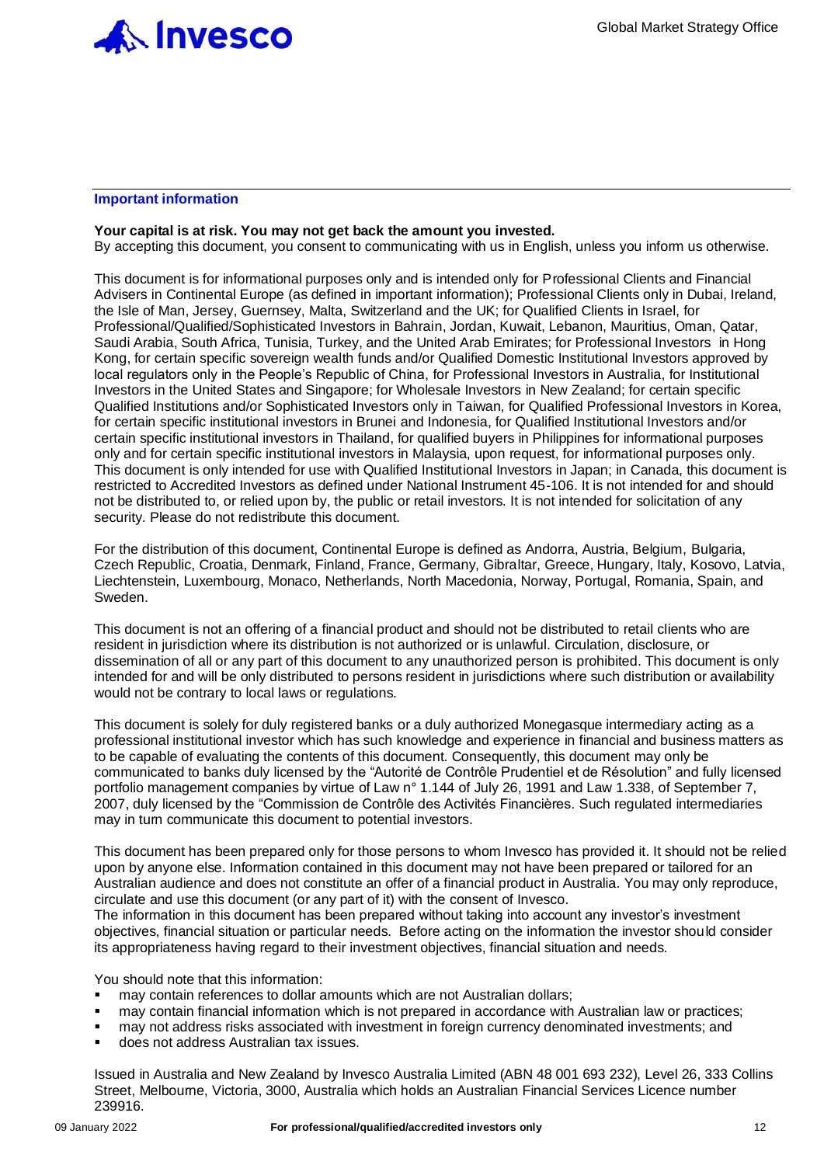

#### **Important information**

#### **Your capital is at risk. You may not get back the amount you invested.**

By accepting this document, you consent to communicating with us in English, unless you inform us otherwise.

This document is for informational purposes only and is intended only for Professional Clients and Financial Advisers in Continental Europe (as defined in important information); Professional Clients only in Dubai, Ireland, the Isle of Man, Jersey, Guernsey, Malta, Switzerland and the UK; for Qualified Clients in Israel, for Professional/Qualified/Sophisticated Investors in Bahrain, Jordan, Kuwait, Lebanon, Mauritius, Oman, Qatar, Saudi Arabia, South Africa, Tunisia, Turkey, and the United Arab Emirates; for Professional Investors in Hong Kong, for certain specific sovereign wealth funds and/or Qualified Domestic Institutional Investors approved by local regulators only in the People's Republic of China, for Professional Investors in Australia, for Institutional Investors in the United States and Singapore; for Wholesale Investors in New Zealand; for certain specific Qualified Institutions and/or Sophisticated Investors only in Taiwan, for Qualified Professional Investors in Korea, for certain specific institutional investors in Brunei and Indonesia, for Qualified Institutional Investors and/or certain specific institutional investors in Thailand, for qualified buyers in Philippines for informational purposes only and for certain specific institutional investors in Malaysia, upon request, for informational purposes only. This document is only intended for use with Qualified Institutional Investors in Japan; in Canada, this document is restricted to Accredited Investors as defined under National Instrument 45-106. It is not intended for and should not be distributed to, or relied upon by, the public or retail investors. It is not intended for solicitation of any security. Please do not redistribute this document.

For the distribution of this document, Continental Europe is defined as Andorra, Austria, Belgium, Bulgaria, Czech Republic, Croatia, Denmark, Finland, France, Germany, Gibraltar, Greece, Hungary, Italy, Kosovo, Latvia, Liechtenstein, Luxembourg, Monaco, Netherlands, North Macedonia, Norway, Portugal, Romania, Spain, and Sweden.

This document is not an offering of a financial product and should not be distributed to retail clients who are resident in jurisdiction where its distribution is not authorized or is unlawful. Circulation, disclosure, or dissemination of all or any part of this document to any unauthorized person is prohibited. This document is only intended for and will be only distributed to persons resident in jurisdictions where such distribution or availability would not be contrary to local laws or regulations.

This document is solely for duly registered banks or a duly authorized Monegasque intermediary acting as a professional institutional investor which has such knowledge and experience in financial and business matters as to be capable of evaluating the contents of this document. Consequently, this document may only be communicated to banks duly licensed by the "Autorité de Contrôle Prudentiel et de Résolution" and fully licensed portfolio management companies by virtue of Law n° 1.144 of July 26, 1991 and Law 1.338, of September 7, 2007, duly licensed by the "Commission de Contrôle des Activités Financières. Such regulated intermediaries may in turn communicate this document to potential investors.

This document has been prepared only for those persons to whom Invesco has provided it. It should not be relied upon by anyone else. Information contained in this document may not have been prepared or tailored for an Australian audience and does not constitute an offer of a financial product in Australia. You may only reproduce, circulate and use this document (or any part of it) with the consent of Invesco.

The information in this document has been prepared without taking into account any investor's investment objectives, financial situation or particular needs. Before acting on the information the investor should consider its appropriateness having regard to their investment objectives, financial situation and needs.

You should note that this information:

- may contain references to dollar amounts which are not Australian dollars;
- may contain financial information which is not prepared in accordance with Australian law or practices;
- may not address risks associated with investment in foreign currency denominated investments; and
- does not address Australian tax issues.

Issued in Australia and New Zealand by Invesco Australia Limited (ABN 48 001 693 232), Level 26, 333 Collins Street, Melbourne, Victoria, 3000, Australia which holds an Australian Financial Services Licence number 239916.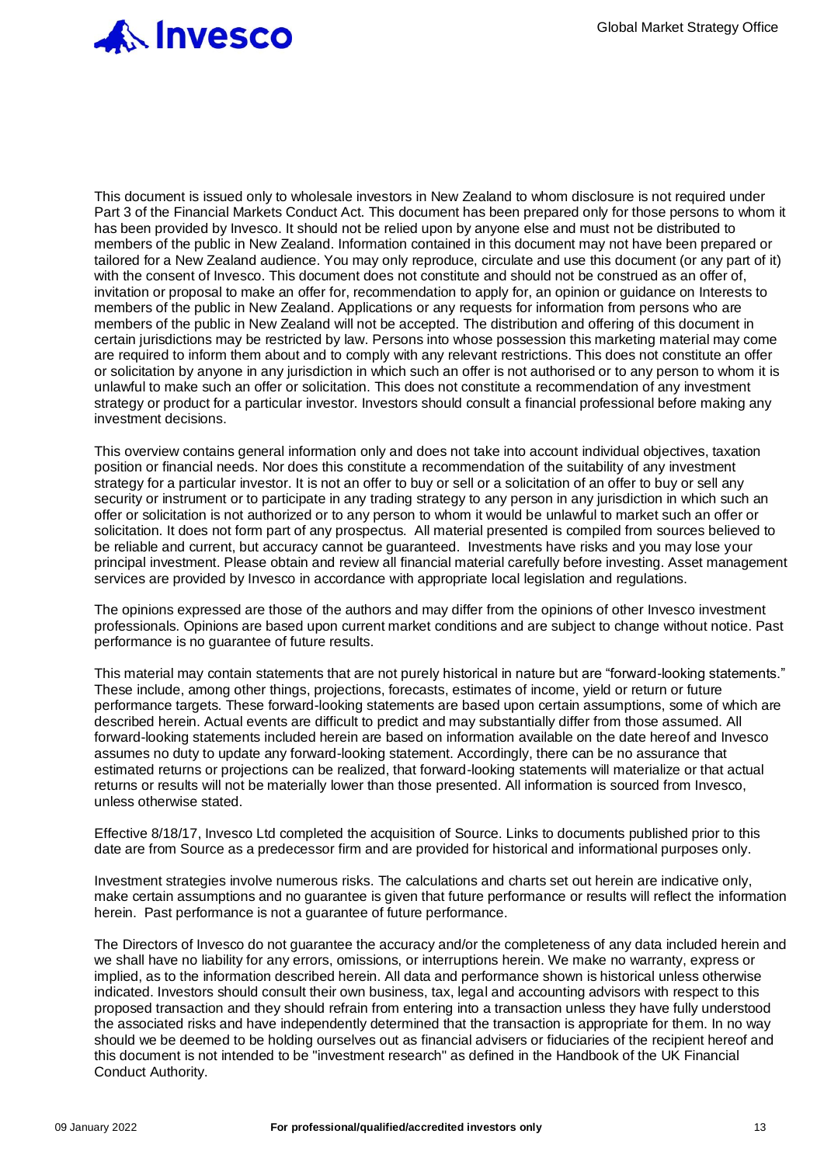

This document is issued only to wholesale investors in New Zealand to whom disclosure is not required under Part 3 of the Financial Markets Conduct Act. This document has been prepared only for those persons to whom it has been provided by Invesco. It should not be relied upon by anyone else and must not be distributed to members of the public in New Zealand. Information contained in this document may not have been prepared or tailored for a New Zealand audience. You may only reproduce, circulate and use this document (or any part of it) with the consent of Invesco. This document does not constitute and should not be construed as an offer of, invitation or proposal to make an offer for, recommendation to apply for, an opinion or guidance on Interests to members of the public in New Zealand. Applications or any requests for information from persons who are members of the public in New Zealand will not be accepted. The distribution and offering of this document in certain jurisdictions may be restricted by law. Persons into whose possession this marketing material may come are required to inform them about and to comply with any relevant restrictions. This does not constitute an offer or solicitation by anyone in any jurisdiction in which such an offer is not authorised or to any person to whom it is unlawful to make such an offer or solicitation. This does not constitute a recommendation of any investment strategy or product for a particular investor. Investors should consult a financial professional before making any investment decisions.

This overview contains general information only and does not take into account individual objectives, taxation position or financial needs. Nor does this constitute a recommendation of the suitability of any investment strategy for a particular investor. It is not an offer to buy or sell or a solicitation of an offer to buy or sell any security or instrument or to participate in any trading strategy to any person in any jurisdiction in which such an offer or solicitation is not authorized or to any person to whom it would be unlawful to market such an offer or solicitation. It does not form part of any prospectus. All material presented is compiled from sources believed to be reliable and current, but accuracy cannot be guaranteed. Investments have risks and you may lose your principal investment. Please obtain and review all financial material carefully before investing. Asset management services are provided by Invesco in accordance with appropriate local legislation and regulations.

The opinions expressed are those of the authors and may differ from the opinions of other Invesco investment professionals. Opinions are based upon current market conditions and are subject to change without notice. Past performance is no guarantee of future results.

This material may contain statements that are not purely historical in nature but are "forward-looking statements." These include, among other things, projections, forecasts, estimates of income, yield or return or future performance targets. These forward-looking statements are based upon certain assumptions, some of which are described herein. Actual events are difficult to predict and may substantially differ from those assumed. All forward-looking statements included herein are based on information available on the date hereof and Invesco assumes no duty to update any forward-looking statement. Accordingly, there can be no assurance that estimated returns or projections can be realized, that forward-looking statements will materialize or that actual returns or results will not be materially lower than those presented. All information is sourced from Invesco, unless otherwise stated.

Effective 8/18/17, Invesco Ltd completed the acquisition of Source. Links to documents published prior to this date are from Source as a predecessor firm and are provided for historical and informational purposes only.

Investment strategies involve numerous risks. The calculations and charts set out herein are indicative only, make certain assumptions and no guarantee is given that future performance or results will reflect the information herein. Past performance is not a guarantee of future performance.

The Directors of Invesco do not guarantee the accuracy and/or the completeness of any data included herein and we shall have no liability for any errors, omissions, or interruptions herein. We make no warranty, express or implied, as to the information described herein. All data and performance shown is historical unless otherwise indicated. Investors should consult their own business, tax, legal and accounting advisors with respect to this proposed transaction and they should refrain from entering into a transaction unless they have fully understood the associated risks and have independently determined that the transaction is appropriate for them. In no way should we be deemed to be holding ourselves out as financial advisers or fiduciaries of the recipient hereof and this document is not intended to be "investment research" as defined in the Handbook of the UK Financial Conduct Authority.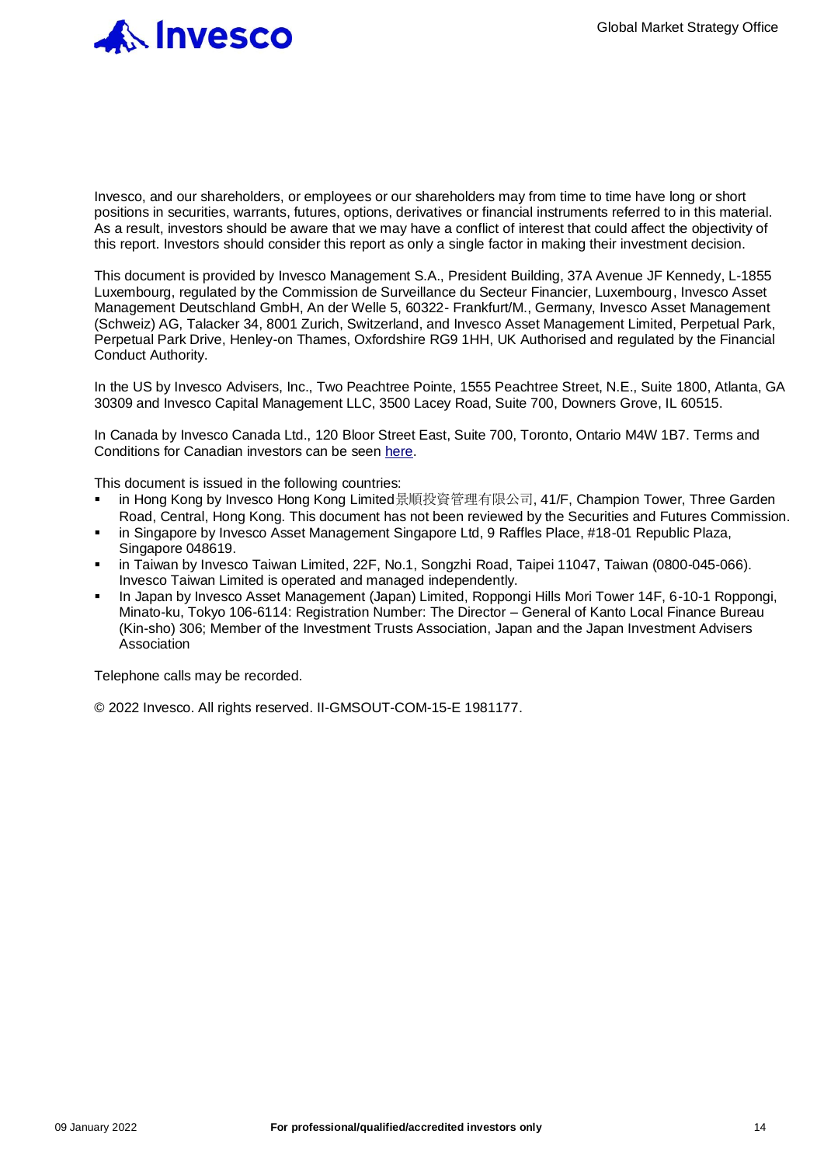

Invesco, and our shareholders, or employees or our shareholders may from time to time have long or short positions in securities, warrants, futures, options, derivatives or financial instruments referred to in this material. As a result, investors should be aware that we may have a conflict of interest that could affect the objectivity of this report. Investors should consider this report as only a single factor in making their investment decision.

This document is provided by Invesco Management S.A., President Building, 37A Avenue JF Kennedy, L-1855 Luxembourg, regulated by the Commission de Surveillance du Secteur Financier, Luxembourg, Invesco Asset Management Deutschland GmbH, An der Welle 5, 60322- Frankfurt/M., Germany, Invesco Asset Management (Schweiz) AG, Talacker 34, 8001 Zurich, Switzerland, and Invesco Asset Management Limited, Perpetual Park, Perpetual Park Drive, Henley-on Thames, Oxfordshire RG9 1HH, UK Authorised and regulated by the Financial Conduct Authority.

In the US by Invesco Advisers, Inc., Two Peachtree Pointe, 1555 Peachtree Street, N.E., Suite 1800, Atlanta, GA 30309 and Invesco Capital Management LLC, 3500 Lacey Road, Suite 700, Downers Grove, IL 60515.

In Canada by Invesco Canada Ltd., 120 Bloor Street East, Suite 700, Toronto, Ontario M4W 1B7. Terms and Conditions for Canadian investors can be seen [here.](https://www.invesco.ca/ivz/powershares)

This document is issued in the following countries:

- in Hong Kong by Invesco Hong Kong Limited景順投資管理有限公司, 41/F, Champion Tower, Three Garden Road, Central, Hong Kong. This document has not been reviewed by the Securities and Futures Commission.
- in Singapore by Invesco Asset Management Singapore Ltd, 9 Raffles Place, #18-01 Republic Plaza, Singapore 048619.
- in Taiwan by Invesco Taiwan Limited, 22F, No.1, Songzhi Road, Taipei 11047, Taiwan (0800-045-066). Invesco Taiwan Limited is operated and managed independently.
- In Japan by Invesco Asset Management (Japan) Limited, Roppongi Hills Mori Tower 14F, 6-10-1 Roppongi, Minato-ku, Tokyo 106-6114: Registration Number: The Director – General of Kanto Local Finance Bureau (Kin-sho) 306; Member of the Investment Trusts Association, Japan and the Japan Investment Advisers **Association**

Telephone calls may be recorded.

© 2022 Invesco. All rights reserved. II-GMSOUT-COM-15-E 1981177.